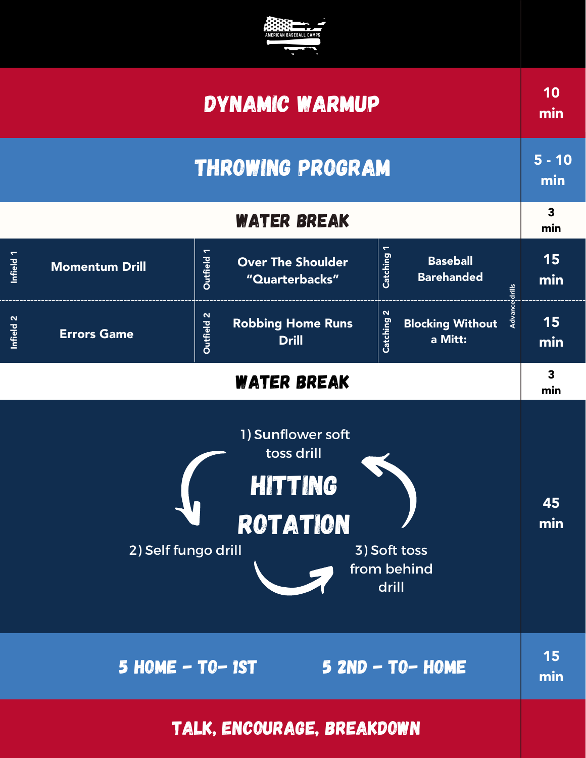

| <b>DYNAMIC WARMUP</b>                                                                                                               |                       |                                                                 |                                                                                       | 10<br>min                      |
|-------------------------------------------------------------------------------------------------------------------------------------|-----------------------|-----------------------------------------------------------------|---------------------------------------------------------------------------------------|--------------------------------|
| <b>THROWING PROGRAM</b>                                                                                                             |                       |                                                                 | $5 - 10$<br>min                                                                       |                                |
| <b>WATER BREAK</b>                                                                                                                  |                       |                                                                 |                                                                                       | $\overline{\mathbf{3}}$<br>min |
| Infield 1                                                                                                                           | <b>Momentum Drill</b> | <b>Outfield 1</b><br><b>Over The Shoulder</b><br>"Quarterbacks" | Catching 1<br><b>Baseball</b><br><b>Barehanded</b><br>drills                          | 15<br>min                      |
| Infield 2                                                                                                                           | <b>Errors Game</b>    | Outfield 2<br><b>Robbing Home Runs</b><br><b>Drill</b>          | $\mathbf N$<br>$\overrightarrow{A}$<br>Catching<br><b>Blocking Without</b><br>a Mitt: | 15<br>min                      |
| <b>WATER BREAK</b>                                                                                                                  |                       |                                                                 |                                                                                       | 3<br>min                       |
| 1) Sunflower soft<br>toss drill<br><b>HITTING</b><br><b>ROTATION</b><br>2) Self fungo drill<br>3) Soft toss<br>from behind<br>drill |                       |                                                                 | 45<br>min                                                                             |                                |
| 5 HOME - TO-1ST 5 2ND - TO-HOME                                                                                                     |                       |                                                                 |                                                                                       | <b>15</b><br>min               |
| TALK, ENCOURAGE, BREAKDOWN                                                                                                          |                       |                                                                 |                                                                                       |                                |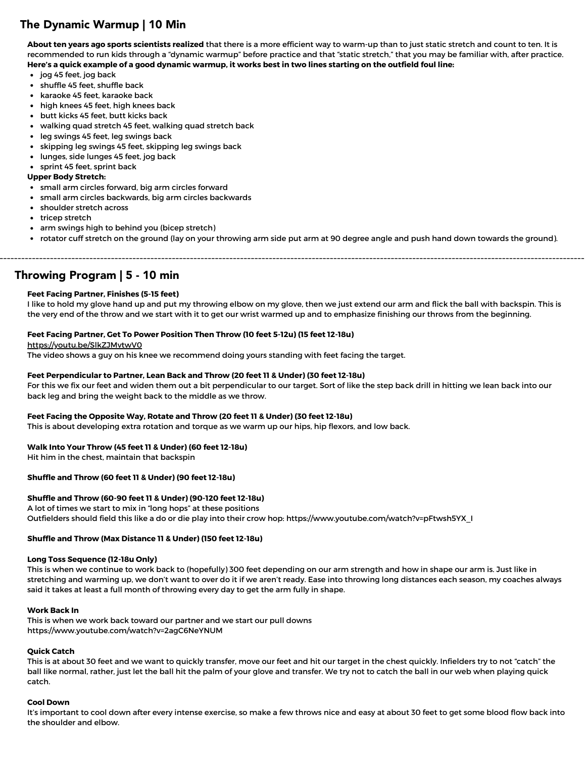# The Dynamic Warmup | 10 Min

**About ten years ago sports scientists realized** that there is a more efficient way to warm-up than to just static stretch and count to ten. It is recommended to run kids through a "dynamic warmup" before practice and that "static stretch," that you may be familiar with, after practice. Here's a quick example of a good dynamic warmup, it works best in two lines starting on the outfield foul line:

- jog 45 feet, jog back
- shuffle 45 feet, shuffle back
- karaoke 45 feet, karaoke back
- high knees 45 feet, high knees back
- butt kicks 45 feet, butt kicks back
- walking quad stretch 45 feet, walking quad stretch back
- leg swings 45 feet, leg swings back
- skipping leg swings 45 feet, skipping leg swings back
- lunges, side lunges 45 feet, jog back
- sprint 45 feet, sprint back

## **Upper Body Stretch:**

- small arm circles forward, big arm circles forward
- small arm circles backwards, big arm circles backwards
- shoulder stretch across
- tricep stretch
- arm swings high to behind you (bicep stretch)
- rotator cuff stretch on the ground (lay on your throwing arm side put arm at 90 degree angle and push hand down towards the ground).

Throwing Program | 5 - 10 min

### **Feet Facing Partner, Finishes (5-15 feet)**

I like to hold my glove hand up and put my throwing elbow on my glove, then we just extend our arm and flick the ball with backspin. This is the very end of the throw and we start with it to get our wrist warmed up and to emphasize finishing our throws from the beginning.

### **Feet Facing Partner, Get To Power Position Then Throw (10 feet 5-12u) (15 feet 12-18u)**

#### <https://youtu.be/SlkZJMvtwV0>

The video shows a guy on his knee we recommend doing yours standing with feet facing the target.

### **Feet Perpendicular to Partner, Lean Back and Throw (20 feet 11 & Under) (30 feet 12-18u)**

For this we fix our feet and widen them out a bit perpendicular to our target. Sort of like the step back drill in hitting we lean back into our back leg and bring the weight back to the middle as we throw.

### **Feet Facing the Opposite Way, Rotate and Throw (20 feet 11 & Under) (30 feet 12-18u)**

This is about developing extra rotation and torque as we warm up our hips, hip flexors, and low back.

### **Walk Into Your Throw (45 feet 11 & Under) (60 feet 12-18u)**

Hit him in the chest, maintain that backspin

### **Shuffle and Throw (60 feet 11 & Under) (90 feet 12-18u)**

### **Shuffle and Throw (60-90 feet 11 & Under) (90-120 feet 12-18u)**

A lot of times we start to mix in "long hops" at these positions Outfielders should field this like a do or die play into their crow hop: https://www.youtube.com/watch?v=pFtwsh5YX\_I

### **Shuffle and Throw (Max Distance 11 & Under) (150 feet 12-18u)**

#### **Long Toss Sequence (12-18u Only)**

This is when we continue to work back to (hopefully) 300 feet depending on our arm strength and how in shape our arm is. Just like in stretching and warming up, we don't want to over do it if we aren't ready. Ease into throwing long distances each season, my coaches always said it takes at least a full month of throwing every day to get the arm fully in shape.

### **Work Back In**

This is when we work back toward our partner and we start our pull downs https://www.youtube.com/watch?v=2agC6NeYNUM

## **Quick Catch**

This is at about 30 feet and we want to quickly transfer, move our feet and hit our target in the chest quickly. Infielders try to not "catch" the ball like normal, rather, just let the ball hit the palm of your glove and transfer. We try not to catch the ball in our web when playing quick catch.

### **Cool Down**

It's important to cool down after every intense exercise, so make a few throws nice and easy at about 30 feet to get some blood flow back into the shoulder and elbow.